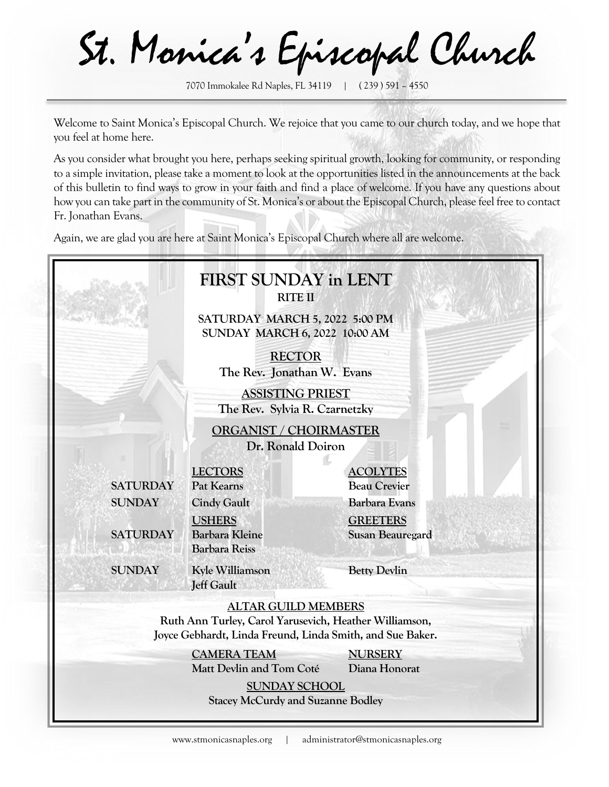St. Monica's Episcopal Church

7070 Immokalee Rd Naples, FL 34119 | ( 239 ) 591 – 4550

Welcome to Saint Monica's Episcopal Church. We rejoice that you came to our church today, and we hope that you feel at home here.

As you consider what brought you here, perhaps seeking spiritual growth, looking for community, or responding to a simple invitation, please take a moment to look at the opportunities listed in the announcements at the back of this bulletin to find ways to grow in your faith and find a place of welcome. If you have any questions about how you can take part in the community of St. Monica's or about the Episcopal Church, please feel free to contact Fr. Jonathan Evans.

Again, we are glad you are here at Saint Monica's Episcopal Church where all are welcome.

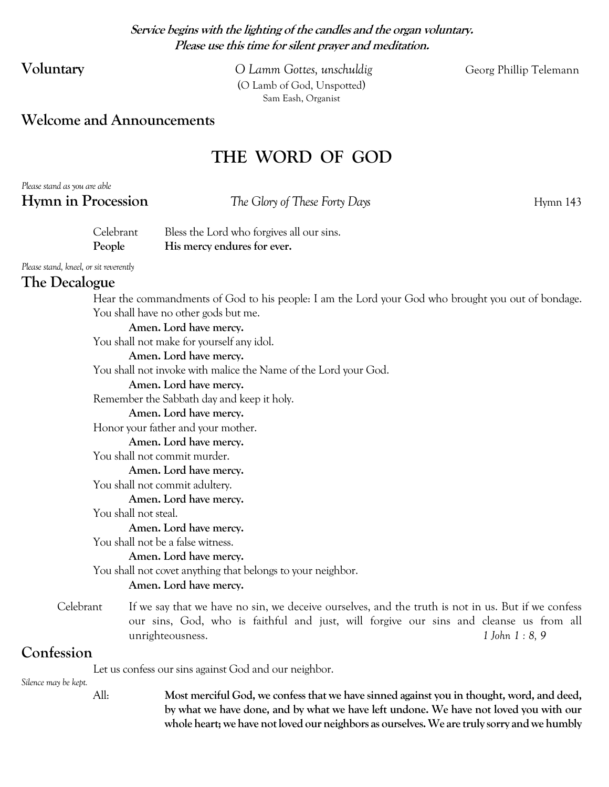#### **Service begins with the lighting of the candles and the organ voluntary. Please use this time for silent prayer and meditation.**

**Voluntary C** *O Lamm Gottes, unschuldig* **Georg Phillip Telemann** (O Lamb of God, Unspotted) Sam Eash, Organist

#### **Welcome and Announcements**

# **THE WORD OF GOD**

# *Please stand as you are able*

**Hymn in Procession** *The Glory of These Forty Days Hymn* 143

| Celebrant | Bless the Lord who forgives all our sins. |
|-----------|-------------------------------------------|
| People    | His mercy endures for ever.               |

*Please stand, kneel, or sit reverently*

#### **The Decalogue**

Hear the commandments of God to his people: I am the Lord your God who brought you out of bondage. You shall have no other gods but me.

#### **Amen. Lord have mercy.** You shall not make for yourself any idol. **Amen. Lord have mercy.** You shall not invoke with malice the Name of the Lord your God. **Amen. Lord have mercy.** Remember the Sabbath day and keep it holy. **Amen. Lord have mercy.** Honor your father and your mother. **Amen. Lord have mercy.** You shall not commit murder. **Amen. Lord have mercy.** You shall not commit adultery. **Amen. Lord have mercy.** You shall not steal.

**Amen. Lord have mercy.** You shall not be a false witness.

**Amen. Lord have mercy.** You shall not covet anything that belongs to your neighbor. **Amen. Lord have mercy.**

Celebrant If we say that we have no sin, we deceive ourselves, and the truth is not in us. But if we confess our sins, God, who is faithful and just, will forgive our sins and cleanse us from all unrighteousness. *1 John 1 : 8, 9*

#### **Confession**

Let us confess our sins against God and our neighbor.

*Silence may be kept.*

All: **Most merciful God, we confess that we have sinned against you in thought, word, and deed, by what we have done, and by what we have left undone. We have not loved you with our whole heart; we have not loved our neighbors as ourselves. We are truly sorry and we humbly**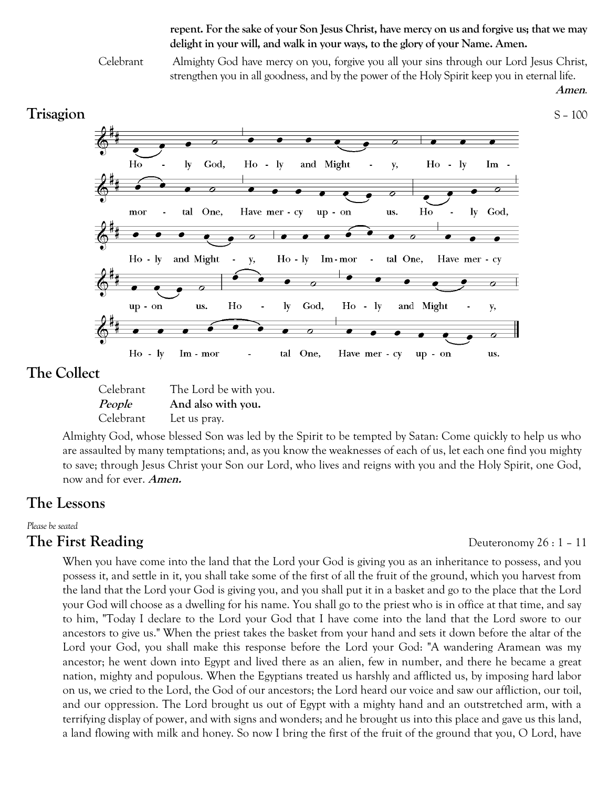**repent. For the sake of your Son Jesus Christ, have mercy on us and forgive us; that we may delight in your will, and walk in your ways, to the glory of your Name. Amen.**

Celebrant Almighty God have mercy on you, forgive you all your sins through our Lord Jesus Christ, strengthen you in all goodness, and by the power of the Holy Spirit keep you in eternal life.

**Amen**.



**The Collect** 

| Celebrant     | The Lord be with you. |
|---------------|-----------------------|
| <i>People</i> | And also with you.    |
| Celebrant     | Let us pray.          |

Almighty God, whose blessed Son was led by the Spirit to be tempted by Satan: Come quickly to help us who are assaulted by many temptations; and, as you know the weaknesses of each of us, let each one find you mighty to save; through Jesus Christ your Son our Lord, who lives and reigns with you and the Holy Spirit, one God, now and for ever. **Amen.**

### **The Lessons**

*Please be seated* 

**The First Reading** Deuteronomy 26 : 1 – 11

When you have come into the land that the Lord your God is giving you as an inheritance to possess, and you possess it, and settle in it, you shall take some of the first of all the fruit of the ground, which you harvest from the land that the Lord your God is giving you, and you shall put it in a basket and go to the place that the Lord your God will choose as a dwelling for his name. You shall go to the priest who is in office at that time, and say to him, "Today I declare to the Lord your God that I have come into the land that the Lord swore to our ancestors to give us." When the priest takes the basket from your hand and sets it down before the altar of the Lord your God, you shall make this response before the Lord your God: "A wandering Aramean was my ancestor; he went down into Egypt and lived there as an alien, few in number, and there he became a great nation, mighty and populous. When the Egyptians treated us harshly and afflicted us, by imposing hard labor on us, we cried to the Lord, the God of our ancestors; the Lord heard our voice and saw our affliction, our toil, and our oppression. The Lord brought us out of Egypt with a mighty hand and an outstretched arm, with a terrifying display of power, and with signs and wonders; and he brought us into this place and gave us this land, a land flowing with milk and honey. So now I bring the first of the fruit of the ground that you, O Lord, have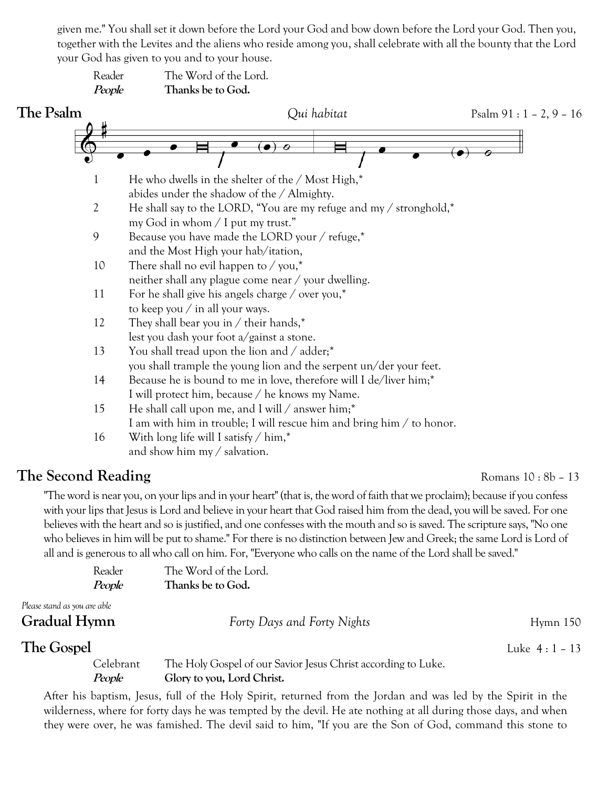given me." You shall set it down before the Lord your God and bow down before the Lord your God. Then you, together with the Levites and the aliens who reside among you, shall celebrate with all the bounty that the Lord your God has given to you and to your house.



# **The Second Reading** Romans 10 : 8b – 13

"The word is near you, on your lips and in your heart" (that is, the word of faith that we proclaim); because if you confess with your lips that Jesus is Lord and believe in your heart that God raised him from the dead, you will be saved. For one believes with the heart and so is justified, and one confesses with the mouth and so is saved. The scripture says, "No one who believes in him will be put to shame." For there is no distinction between Jew and Greek; the same Lord is Lord of all and is generous to all who call on him. For, "Everyone who calls on the name of the Lord shall be saved."

|                              | Reader    | The Word of the Lord.                                                                             |                 |
|------------------------------|-----------|---------------------------------------------------------------------------------------------------|-----------------|
|                              | People    | Thanks be to God.                                                                                 |                 |
| Please stand as you are able |           |                                                                                                   |                 |
| Gradual Hymn                 |           | Forty Days and Forty Nights                                                                       | Hymn $150$      |
| The Gospel                   |           |                                                                                                   | Luke $4:1 - 13$ |
|                              | Celebrant | The Holy Gospel of our Savior Jesus Christ according to Luke.<br>$\sim$ 1<br>$\sim$ $\sim$ $\sim$ |                 |

**People Glory to you, Lord Christ.** 

After his baptism, Jesus, full of the Holy Spirit, returned from the Jordan and was led by the Spirit in the wilderness, where for forty days he was tempted by the devil. He ate nothing at all during those days, and when they were over, he was famished. The devil said to him, "If you are the Son of God, command this stone to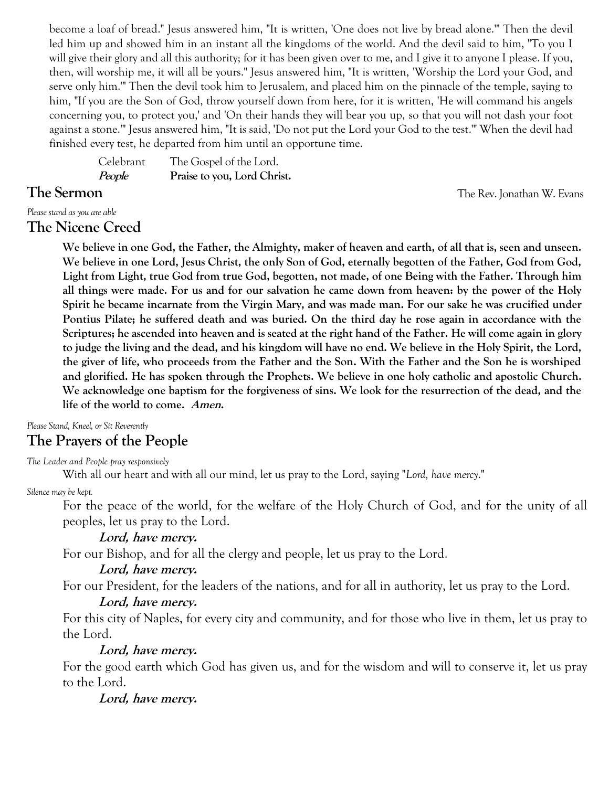become a loaf of bread." Jesus answered him, "It is written, 'One does not live by bread alone.'" Then the devil led him up and showed him in an instant all the kingdoms of the world. And the devil said to him, "To you I will give their glory and all this authority; for it has been given over to me, and I give it to anyone I please. If you, then, will worship me, it will all be yours." Jesus answered him, "It is written, 'Worship the Lord your God, and serve only him.'" Then the devil took him to Jerusalem, and placed him on the pinnacle of the temple, saying to him, "If you are the Son of God, throw yourself down from here, for it is written, 'He will command his angels concerning you, to protect you,' and 'On their hands they will bear you up, so that you will not dash your foot against a stone.'" Jesus answered him, "It is said, 'Do not put the Lord your God to the test.'" When the devil had finished every test, he departed from him until an opportune time.

Celebrant The Gospel of the Lord. **People Praise to you, Lord Christ.** 

*Please stand as you are able*

### **The Nicene Creed**

**We believe in one God, the Father, the Almighty, maker of heaven and earth, of all that is, seen and unseen. We believe in one Lord, Jesus Christ, the only Son of God, eternally begotten of the Father, God from God, Light from Light, true God from true God, begotten, not made, of one Being with the Father. Through him all things were made. For us and for our salvation he came down from heaven: by the power of the Holy Spirit he became incarnate from the Virgin Mary, and was made man. For our sake he was crucified under Pontius Pilate; he suffered death and was buried. On the third day he rose again in accordance with the Scriptures; he ascended into heaven and is seated at the right hand of the Father. He will come again in glory to judge the living and the dead, and his kingdom will have no end. We believe in the Holy Spirit, the Lord, the giver of life, who proceeds from the Father and the Son. With the Father and the Son he is worshiped and glorified. He has spoken through the Prophets. We believe in one holy catholic and apostolic Church. We acknowledge one baptism for the forgiveness of sins. We look for the resurrection of the dead, and the life of the world to come. Amen.**

*Please Stand, Kneel,or Sit Reverently*

## **The Prayers of the People**

*The Leader and People pray responsively*

With all our heart and with all our mind, let us pray to the Lord, saying "*Lord, have mercy*."

*Silence may be kept.*

For the peace of the world, for the welfare of the Holy Church of God, and for the unity of all peoples, let us pray to the Lord.

#### **Lord, have mercy.**

For our Bishop, and for all the clergy and people, let us pray to the Lord.

#### **Lord, have mercy.**

For our President, for the leaders of the nations, and for all in authority, let us pray to the Lord.

#### **Lord, have mercy.**

For this city of Naples, for every city and community, and for those who live in them, let us pray to the Lord.

### **Lord, have mercy.**

For the good earth which God has given us, and for the wisdom and will to conserve it, let us pray to the Lord.

#### **Lord, have mercy.**

**The Sermon** The Rev. Jonathan W. Evans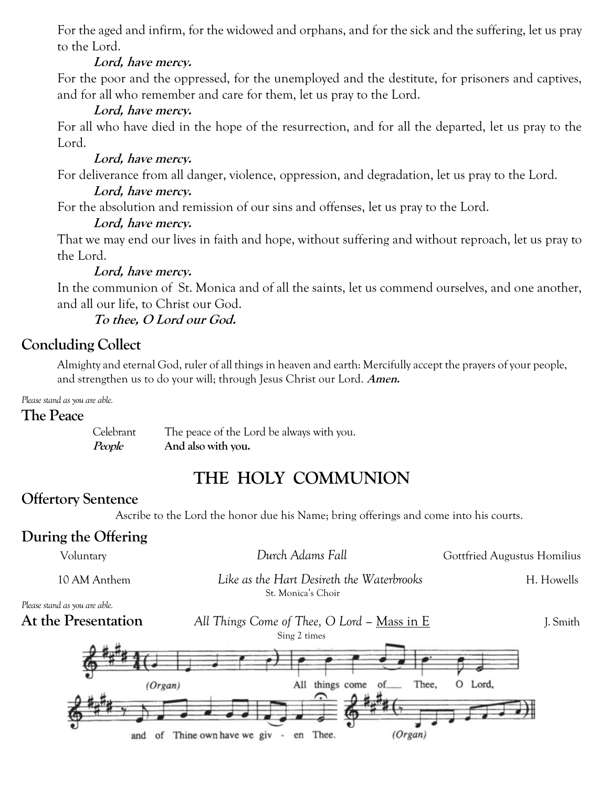For the aged and infirm, for the widowed and orphans, and for the sick and the suffering, let us pray to the Lord.

#### **Lord, have mercy.**

For the poor and the oppressed, for the unemployed and the destitute, for prisoners and captives, and for all who remember and care for them, let us pray to the Lord.

#### **Lord, have mercy.**

For all who have died in the hope of the resurrection, and for all the departed, let us pray to the Lord.

### **Lord, have mercy.**

For deliverance from all danger, violence, oppression, and degradation, let us pray to the Lord.

#### **Lord, have mercy.**

For the absolution and remission of our sins and offenses, let us pray to the Lord.

#### **Lord, have mercy.**

That we may end our lives in faith and hope, without suffering and without reproach, let us pray to the Lord.

#### **Lord, have mercy.**

In the communion of St. Monica and of all the saints, let us commend ourselves, and one another, and all our life, to Christ our God.

# **To thee, O Lord our God.**

# **Concluding Collect**

Almighty and eternal God, ruler of all things in heaven and earth: Mercifully accept the prayers of your people, and strengthen us to do your will; through Jesus Christ our Lord. **Amen.**

*Please stand as you are able.*

### **The Peace**

Celebrant The peace of the Lord be always with you. **People And also with you.**

# **THE HOLY COMMUNION**

# **Offertory Sentence**

Ascribe to the Lord the honor due his Name; bring offerings and come into his courts.

# **During the Offering**

| Voluntary                     |                                               | Durch Adams Fall                                                |          |  |
|-------------------------------|-----------------------------------------------|-----------------------------------------------------------------|----------|--|
| 10 AM Anthem                  |                                               | Like as the Hart Desireth the Waterbrooks<br>St. Monica's Choir |          |  |
| Please stand as you are able. |                                               |                                                                 |          |  |
| At the Presentation           | All Things Come of Thee, O Lord $-$ Mass in E |                                                                 | J. Smith |  |
|                               | Sing 2 times                                  |                                                                 |          |  |
|                               |                                               |                                                                 |          |  |
|                               |                                               |                                                                 |          |  |
|                               | (Organ)<br>All                                | $of$ <sub>—</sub><br>Thee,<br>things come                       | Lord,    |  |
|                               | $\widehat{\phantom{a}}$                       |                                                                 |          |  |
| and                           | Thine own have we giv<br>en<br>of             | (Organ)<br>Thee.                                                |          |  |
|                               |                                               |                                                                 |          |  |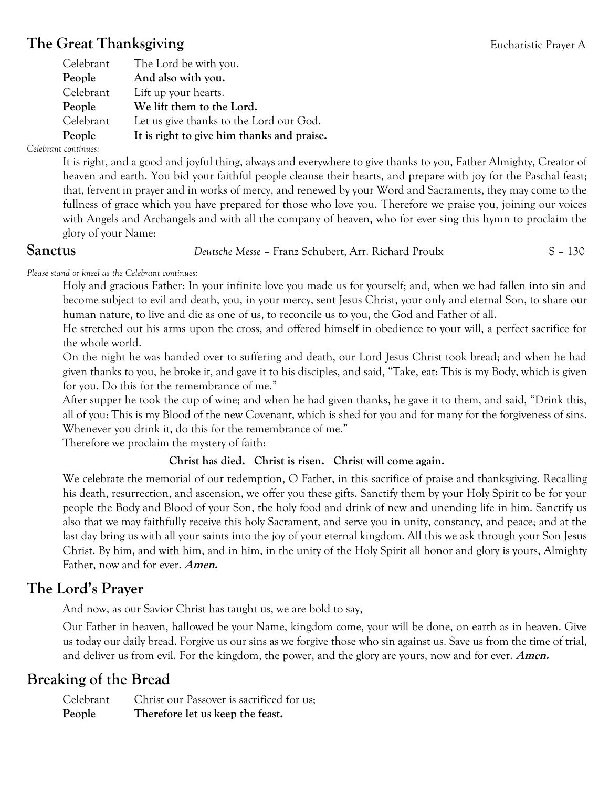# **The Great Thanksgiving** *Eucharistic Prayer A*

| Celebrant | The Lord be with you.                      |
|-----------|--------------------------------------------|
| People    | And also with you.                         |
| Celebrant | Lift up your hearts.                       |
| People    | We lift them to the Lord.                  |
| Celebrant | Let us give thanks to the Lord our God.    |
| People    | It is right to give him thanks and praise. |
|           |                                            |

#### *Celebrant continues:*

It is right, and a good and joyful thing, always and everywhere to give thanks to you, Father Almighty, Creator of heaven and earth. You bid your faithful people cleanse their hearts, and prepare with joy for the Paschal feast; that, fervent in prayer and in works of mercy, and renewed by your Word and Sacraments, they may come to the fullness of grace which you have prepared for those who love you. Therefore we praise you, joining our voices with Angels and Archangels and with all the company of heaven, who for ever sing this hymn to proclaim the glory of your Name:

**Sanctus** *Deutsche Messe* – Franz Schubert, Arr. Richard Proulx **S** – 130

*Please stand or kneel as the Celebrant continues:*

Holy and gracious Father: In your infinite love you made us for yourself; and, when we had fallen into sin and become subject to evil and death, you, in your mercy, sent Jesus Christ, your only and eternal Son, to share our human nature, to live and die as one of us, to reconcile us to you, the God and Father of all.

He stretched out his arms upon the cross, and offered himself in obedience to your will, a perfect sacrifice for the whole world.

On the night he was handed over to suffering and death, our Lord Jesus Christ took bread; and when he had given thanks to you, he broke it, and gave it to his disciples, and said, "Take, eat: This is my Body, which is given for you. Do this for the remembrance of me."

After supper he took the cup of wine; and when he had given thanks, he gave it to them, and said, "Drink this, all of you: This is my Blood of the new Covenant, which is shed for you and for many for the forgiveness of sins. Whenever you drink it, do this for the remembrance of me."

Therefore we proclaim the mystery of faith:

#### **Christ has died. Christ is risen. Christ will come again.**

We celebrate the memorial of our redemption, O Father, in this sacrifice of praise and thanksgiving. Recalling his death, resurrection, and ascension, we offer you these gifts. Sanctify them by your Holy Spirit to be for your people the Body and Blood of your Son, the holy food and drink of new and unending life in him. Sanctify us also that we may faithfully receive this holy Sacrament, and serve you in unity, constancy, and peace; and at the last day bring us with all your saints into the joy of your eternal kingdom. All this we ask through your Son Jesus Christ. By him, and with him, and in him, in the unity of the Holy Spirit all honor and glory is yours, Almighty Father, now and for ever. **Amen.**

# **The Lord's Prayer**

And now, as our Savior Christ has taught us, we are bold to say,

Our Father in heaven, hallowed be your Name, kingdom come, your will be done, on earth as in heaven. Give us today our daily bread. Forgive us our sins as we forgive those who sin against us. Save us from the time of trial, and deliver us from evil. For the kingdom, the power, and the glory are yours, now and for ever. **Amen.**

# **Breaking of the Bread**

Celebrant Christ our Passover is sacrificed for us; **People Therefore let us keep the feast.**